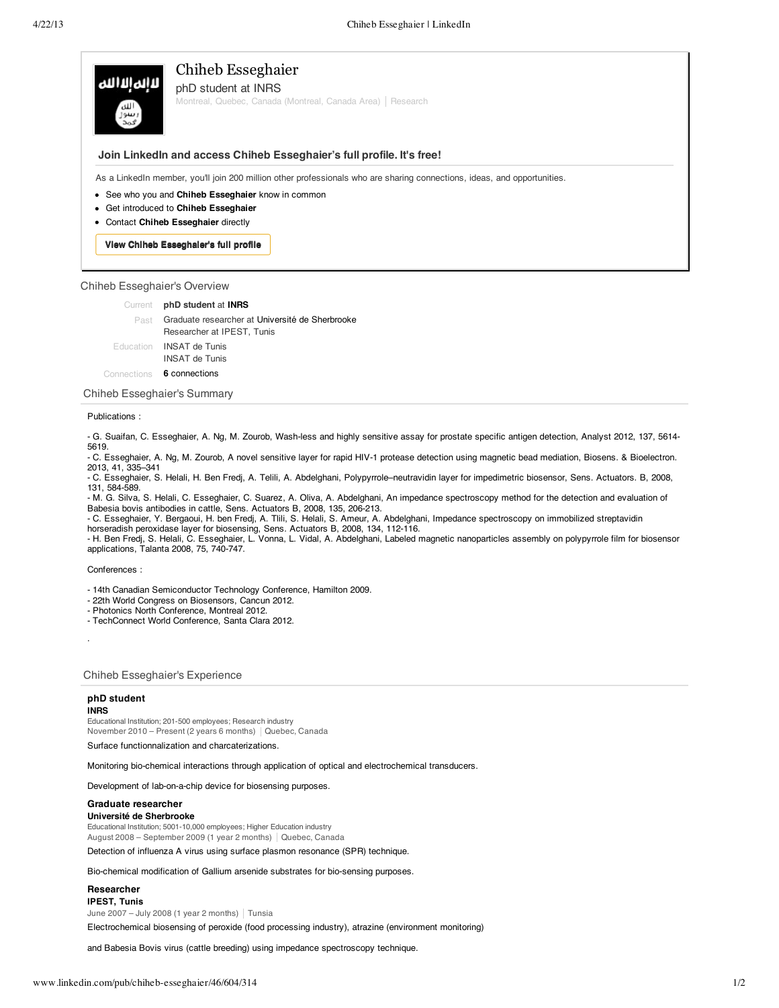# Chiheb Esseghaier لاالمالاالله phD student at INRS Montreal, Quebec, Canada (Montreal, Canada Area) | Research

## **Join LinkedIn and access Chiheb Esseghaier's full profile. It's free!**

As a LinkedIn member, you'll join 200 million other professionals who are sharing connections, ideas, and opportunities.

- See who you and **Chiheb Esseghaier** know in common
- Get introduced to **Chiheb Esseghaier**
- Contact **Chiheb Esseghaier** directly

**View Chiheb Esseghaier's full profile** 

## Chiheb Esseghaier's Overview

**phD student** at **INRS** Current Past Graduate researcher at Université de Sherbrooke Researcher at IPEST, Tunis Education **INSAT de Tunis** INSAT de Tunis Connections **6 connections** 

Chiheb Esseghaier's Summary

## Publications :

- G. Suaifan, C. Esseghaier, A. Ng, M. Zourob, Wash-less and highly sensitive assay for prostate specific antigen detection, Analyst 2012, 137, 5614- 5619.

- C. Esseghaier, A. Ng, M. Zourob, A novel sensitive layer for rapid HIV-1 protease detection using magnetic bead mediation, Biosens. & Bioelectron. 2013, 41, 335–341

- C. Esseghaier, S. Helali, H. Ben Fredj, A. Telili, A. Abdelghani, Polypyrrole–neutravidin layer for impedimetric biosensor, Sens. Actuators. B, 2008, 131, 584-589.

- M. G. Silva, S. Helali, C. Esseghaier, C. Suarez, A. Oliva, A. Abdelghani, An impedance spectroscopy method for the detection and evaluation of Babesia bovis antibodies in cattle, Sens. Actuators B, 2008, 135, 206-213.

- C. Esseghaier, Y. Bergaoui, H. ben Fredj, A. Tlili, S. Helali, S. Ameur, A. Abdelghani, Impedance spectroscopy on immobilized streptavidin horseradish peroxidase layer for biosensing, Sens. Actuators B, 2008, 134, 112-116.

- H. Ben Fredj, S. Helali, C. Esseghaier, L. Vonna, L. Vidal, A. Abdelghani, Labeled magnetic nanoparticles assembly on polypyrrole film for biosensor applications, Talanta 2008, 75, 740-747.

## Conferences :

- 14th Canadian Semiconductor Technology Conference, Hamilton 2009.

- 22th World Congress on Biosensors, Cancun 2012.
- Photonics North Conference, Montreal 2012.
- TechConnect World Conference, Santa Clara 2012.

Chiheb Esseghaier's Experience

## **phD student**

#### **INRS**

·

Educational Institution; 201-500 employees; Research industry November 2010 – Present (2 years 6 months) | Quebec, Canada

Surface functionnalization and charcaterizations.

Monitoring bio-chemical interactions through application of optical and electrochemical transducers.

Development of lab-on-a-chip device for biosensing purposes.

## **Graduate researcher**

**Université de Sherbrooke** Educational Institution; 5001-10,000 employees; Higher Education industry

August 2008 – September 2009 (1 year 2 months) Quebec, Canada

Detection of influenza A virus using surface plasmon resonance (SPR) technique.

Bio-chemical modification of Gallium arsenide substrates for bio-sensing purposes.

### **Researcher IPEST, Tunis**

June 2007 – July 2008 (1 year 2 months)  $|$  Tunsia

Electrochemical biosensing of peroxide (food processing industry), atrazine (environment monitoring)

and Babesia Bovis virus (cattle breeding) using impedance spectroscopy technique.